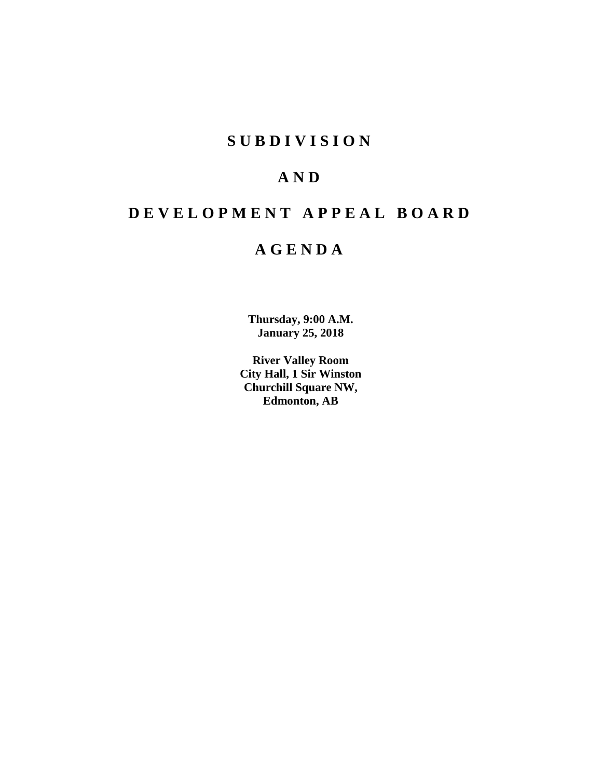# **SUBDIVISION**

# **AND**

# **DEVELOPMENT APPEAL BOARD**

# **AGENDA**

**Thursday, 9:00 A.M. January 25, 2018**

**River Valley Room City Hall, 1 Sir Winston Churchill Square NW, Edmonton, AB**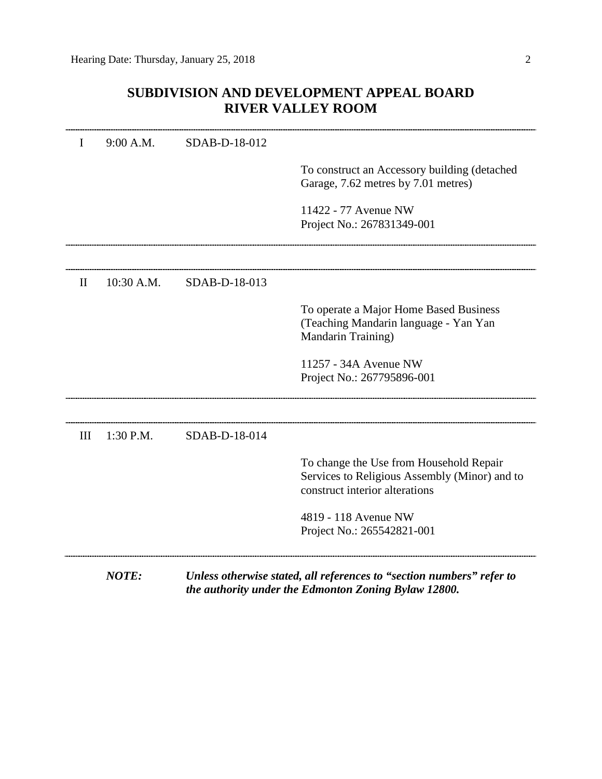# **SUBDIVISION AND DEVELOPMENT APPEAL BOARD RIVER VALLEY ROOM**

| I            | 9:00 A.M.  | SDAB-D-18-012 |                                                                                                                               |
|--------------|------------|---------------|-------------------------------------------------------------------------------------------------------------------------------|
|              |            |               | To construct an Accessory building (detached<br>Garage, 7.62 metres by 7.01 metres)                                           |
|              |            |               | 11422 - 77 Avenue NW<br>Project No.: 267831349-001                                                                            |
|              |            |               |                                                                                                                               |
| $\mathbf{I}$ | 10:30 A.M. | SDAB-D-18-013 |                                                                                                                               |
|              |            |               | To operate a Major Home Based Business<br>(Teaching Mandarin language - Yan Yan<br>Mandarin Training)                         |
|              |            |               | 11257 - 34A Avenue NW<br>Project No.: 267795896-001                                                                           |
| Ш            | 1:30 P.M.  | SDAB-D-18-014 |                                                                                                                               |
|              |            |               | To change the Use from Household Repair<br>Services to Religious Assembly (Minor) and to<br>construct interior alterations    |
|              |            |               | 4819 - 118 Avenue NW<br>Project No.: 265542821-001                                                                            |
|              | NOTE:      |               | Unless otherwise stated, all references to "section numbers" refer to<br>the authority under the Edmonton Zoning Bylaw 12800. |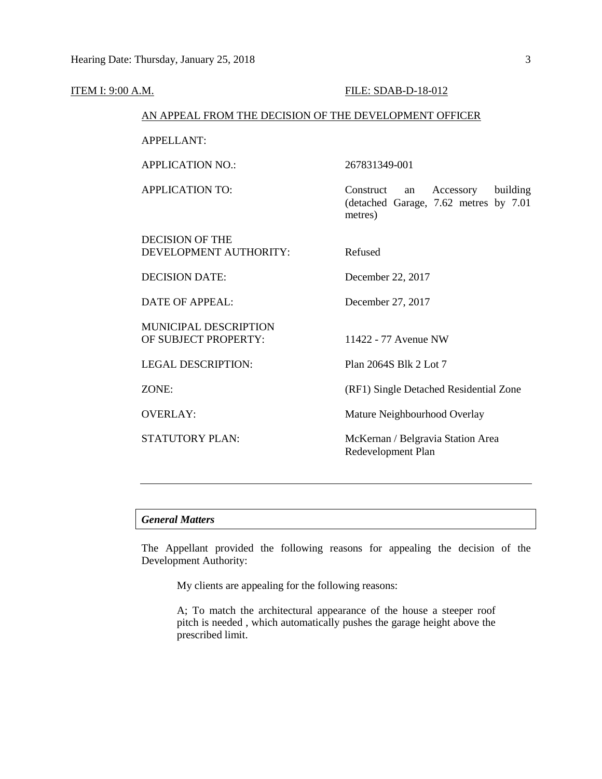| ITEM I: 9:00 A.M.                                      |                                                  | FILE: SDAB-D-18-012                                                                           |  |  |
|--------------------------------------------------------|--------------------------------------------------|-----------------------------------------------------------------------------------------------|--|--|
| AN APPEAL FROM THE DECISION OF THE DEVELOPMENT OFFICER |                                                  |                                                                                               |  |  |
|                                                        | <b>APPELLANT:</b>                                |                                                                                               |  |  |
|                                                        | <b>APPLICATION NO.:</b>                          | 267831349-001                                                                                 |  |  |
|                                                        | <b>APPLICATION TO:</b>                           | Construct<br>Accessory<br>building<br>an<br>(detached Garage, 7.62 metres by 7.01)<br>metres) |  |  |
|                                                        | <b>DECISION OF THE</b><br>DEVELOPMENT AUTHORITY: | Refused                                                                                       |  |  |
|                                                        | <b>DECISION DATE:</b>                            | December 22, 2017                                                                             |  |  |
|                                                        | <b>DATE OF APPEAL:</b>                           | December 27, 2017                                                                             |  |  |
|                                                        | MUNICIPAL DESCRIPTION<br>OF SUBJECT PROPERTY:    | 11422 - 77 Avenue NW                                                                          |  |  |
|                                                        | <b>LEGAL DESCRIPTION:</b>                        | Plan 2064S Blk 2 Lot 7                                                                        |  |  |
|                                                        | ZONE:                                            | (RF1) Single Detached Residential Zone                                                        |  |  |
|                                                        | <b>OVERLAY:</b>                                  | Mature Neighbourhood Overlay                                                                  |  |  |
|                                                        | <b>STATUTORY PLAN:</b>                           | McKernan / Belgravia Station Area<br>Redevelopment Plan                                       |  |  |
|                                                        |                                                  |                                                                                               |  |  |

# *General Matters*

The Appellant provided the following reasons for appealing the decision of the Development Authority:

My clients are appealing for the following reasons:

A; To match the architectural appearance of the house a steeper roof pitch is needed , which automatically pushes the garage height above the prescribed limit.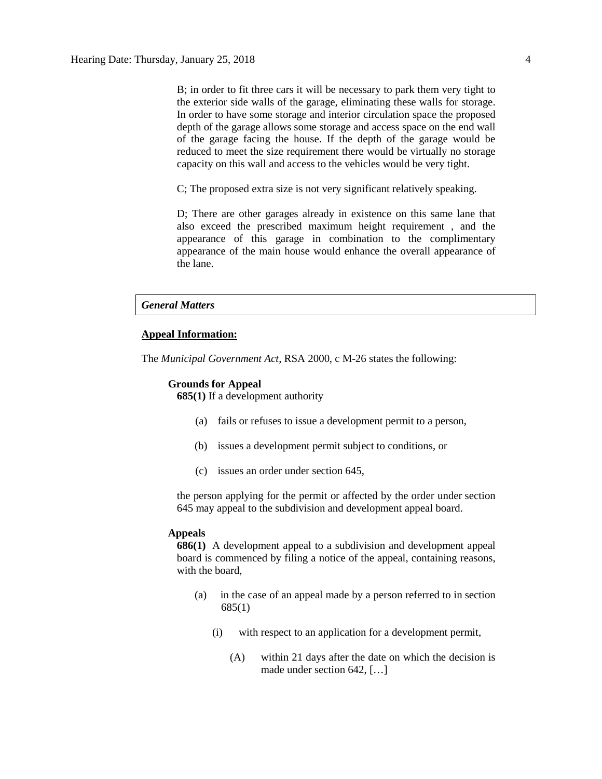B; in order to fit three cars it will be necessary to park them very tight to the exterior side walls of the garage, eliminating these walls for storage. In order to have some storage and interior circulation space the proposed depth of the garage allows some storage and access space on the end wall of the garage facing the house. If the depth of the garage would be reduced to meet the size requirement there would be virtually no storage capacity on this wall and access to the vehicles would be very tight.

C; The proposed extra size is not very significant relatively speaking.

D; There are other garages already in existence on this same lane that also exceed the prescribed maximum height requirement , and the appearance of this garage in combination to the complimentary appearance of the main house would enhance the overall appearance of the lane.

# *General Matters*

### **Appeal Information:**

The *Municipal Government Act*, RSA 2000, c M-26 states the following:

### **Grounds for Appeal**

**685(1)** If a development authority

- (a) fails or refuses to issue a development permit to a person,
- (b) issues a development permit subject to conditions, or
- (c) issues an order under section 645,

the person applying for the permit or affected by the order under section 645 may appeal to the subdivision and development appeal board.

### **Appeals**

**686(1)** A development appeal to a subdivision and development appeal board is commenced by filing a notice of the appeal, containing reasons, with the board,

- (a) in the case of an appeal made by a person referred to in section 685(1)
	- (i) with respect to an application for a development permit,
		- (A) within 21 days after the date on which the decision is made under section 642, […]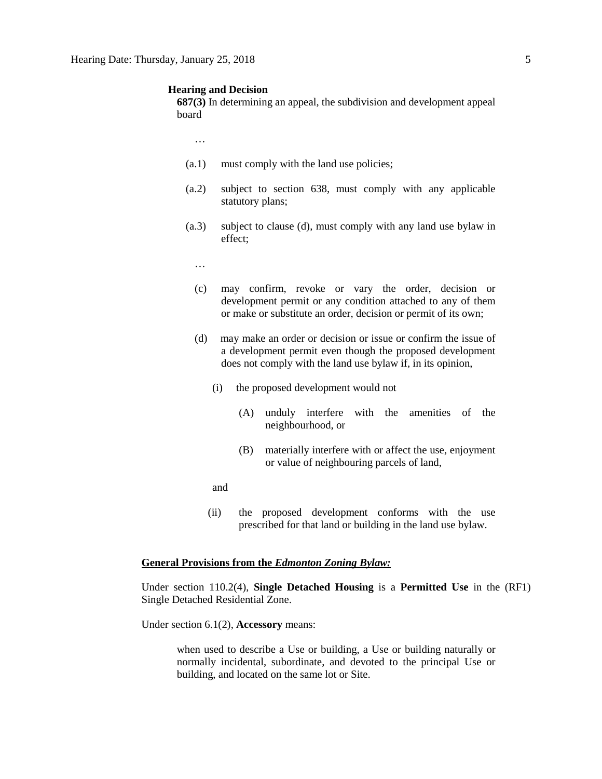### **Hearing and Decision**

**687(3)** In determining an appeal, the subdivision and development appeal board

…

- (a.1) must comply with the land use policies;
- (a.2) subject to section 638, must comply with any applicable statutory plans;
- (a.3) subject to clause (d), must comply with any land use bylaw in effect;
	- …
	- (c) may confirm, revoke or vary the order, decision or development permit or any condition attached to any of them or make or substitute an order, decision or permit of its own;
	- (d) may make an order or decision or issue or confirm the issue of a development permit even though the proposed development does not comply with the land use bylaw if, in its opinion,
		- (i) the proposed development would not
			- (A) unduly interfere with the amenities of the neighbourhood, or
			- (B) materially interfere with or affect the use, enjoyment or value of neighbouring parcels of land,

and

(ii) the proposed development conforms with the use prescribed for that land or building in the land use bylaw.

# **General Provisions from the** *Edmonton Zoning Bylaw:*

Under section 110.2(4), **Single Detached Housing** is a **Permitted Use** in the (RF1) Single Detached Residential Zone.

Under section 6.1(2), **Accessory** means:

when used to describe a Use or building, a Use or building naturally or normally incidental, subordinate, and devoted to the principal Use or building, and located on the same lot or Site.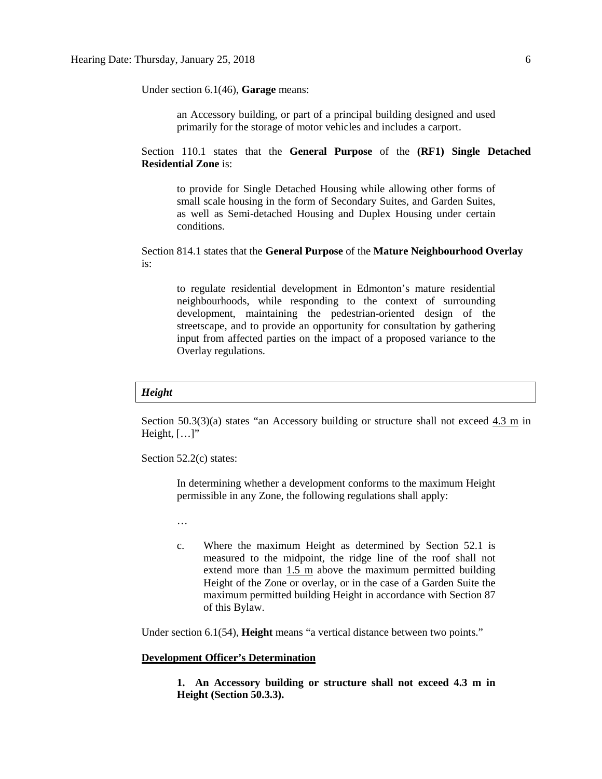Under section 6.1(46), **Garage** means:

an Accessory building, or part of a principal building designed and used primarily for the storage of motor vehicles and includes a carport.

Section 110.1 states that the **General Purpose** of the **(RF1) Single Detached Residential Zone** is:

to provide for Single Detached Housing while allowing other forms of small scale housing in the form of Secondary Suites, and Garden Suites, as well as Semi-detached Housing and Duplex Housing under certain conditions.

Section 814.1 states that the **General Purpose** of the **Mature Neighbourhood Overlay** is:

to regulate residential development in Edmonton's mature residential neighbourhoods, while responding to the context of surrounding development, maintaining the pedestrian-oriented design of the streetscape, and to provide an opportunity for consultation by gathering input from affected parties on the impact of a proposed variance to the Overlay regulations.

### *Height*

Section 50.3(3)(a) states "an Accessory building or structure shall not exceed  $4.3 \text{ m}$  in Height,  $[\ldots]$ "

Section 52.2(c) states:

In determining whether a development conforms to the maximum Height permissible in any Zone, the following regulations shall apply:

…

c. Where the maximum Height as determined by Section 52.1 is measured to the midpoint, the ridge line of the roof shall not extend more than 1.5 m above the maximum permitted building Height of the Zone or overlay, or in the case of a Garden Suite the maximum permitted building Height in accordance with Section 87 of this Bylaw.

Under section 6.1(54), **Height** means "a vertical distance between two points."

# **Development Officer's Determination**

**1. An Accessory building or structure shall not exceed 4.3 m in Height (Section 50.3.3).**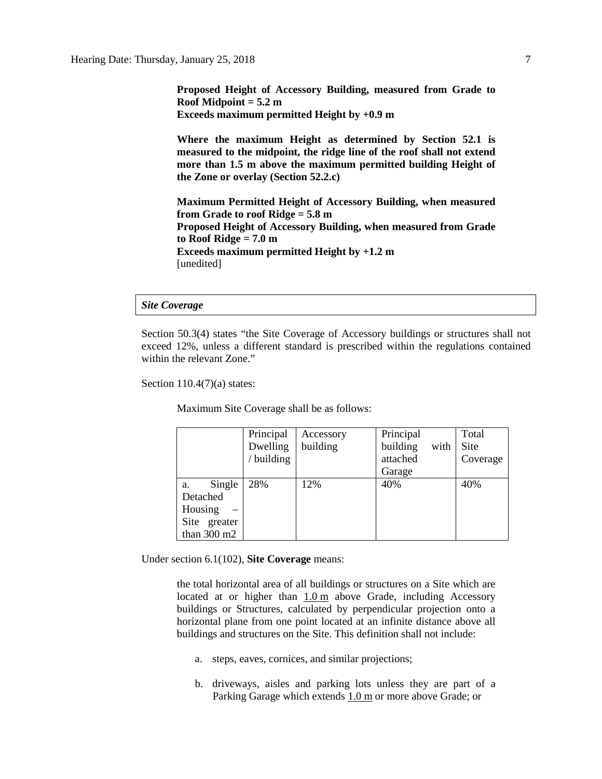**Proposed Height of Accessory Building, measured from Grade to Roof Midpoint = 5.2 m Exceeds maximum permitted Height by +0.9 m**

**Where the maximum Height as determined by Section 52.1 is measured to the midpoint, the ridge line of the roof shall not extend more than 1.5 m above the maximum permitted building Height of the Zone or overlay (Section 52.2.c)**

**Maximum Permitted Height of Accessory Building, when measured from Grade to roof Ridge = 5.8 m Proposed Height of Accessory Building, when measured from Grade to Roof Ridge = 7.0 m Exceeds maximum permitted Height by +1.2 m** [unedited]

### *Site Coverage*

Section 50.3(4) states "the Site Coverage of Accessory buildings or structures shall not exceed 12%, unless a different standard is prescribed within the regulations contained within the relevant Zone."

Section  $110.4(7)(a)$  states:

Maximum Site Coverage shall be as follows:

|                       | Principal  | Accessory | Principal        | Total    |
|-----------------------|------------|-----------|------------------|----------|
|                       | Dwelling   | building  | building<br>with | Site     |
|                       | / building |           | attached         | Coverage |
|                       |            |           | Garage           |          |
| Single<br>a.          | 28%        | 12%       | 40%              | 40%      |
| Detached              |            |           |                  |          |
| Housing               |            |           |                  |          |
| Site greater          |            |           |                  |          |
| than $300 \text{ m2}$ |            |           |                  |          |

Under section 6.1(102), **Site Coverage** means:

the total horizontal area of all buildings or structures on a Site which are located at or higher than [1.0](javascript:void(0);) m above Grade, including Accessory buildings or Structures, calculated by perpendicular projection onto a horizontal plane from one point located at an infinite distance above all buildings and structures on the Site. This definition shall not include:

- a. steps, eaves, cornices, and similar projections;
- b. driveways, aisles and parking lots unless they are part of a Parking Garage which extends [1.0](javascript:void(0);) m or more above Grade; or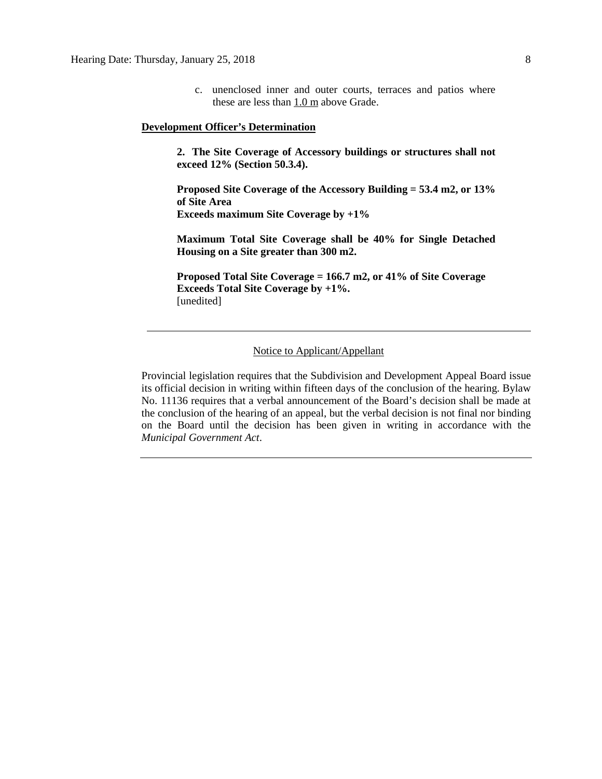c. unenclosed inner and outer courts, terraces and patios where these are less than  $1.0 \text{ m}$  above Grade.

### **Development Officer's Determination**

**2. The Site Coverage of Accessory buildings or structures shall not exceed 12% (Section 50.3.4).**

**Proposed Site Coverage of the Accessory Building = 53.4 m2, or 13% of Site Area Exceeds maximum Site Coverage by +1%**

**Maximum Total Site Coverage shall be 40% for Single Detached Housing on a Site greater than 300 m2.**

**Proposed Total Site Coverage = 166.7 m2, or 41% of Site Coverage Exceeds Total Site Coverage by +1%.** [unedited]

## Notice to Applicant/Appellant

Provincial legislation requires that the Subdivision and Development Appeal Board issue its official decision in writing within fifteen days of the conclusion of the hearing. Bylaw No. 11136 requires that a verbal announcement of the Board's decision shall be made at the conclusion of the hearing of an appeal, but the verbal decision is not final nor binding on the Board until the decision has been given in writing in accordance with the *Municipal Government Act*.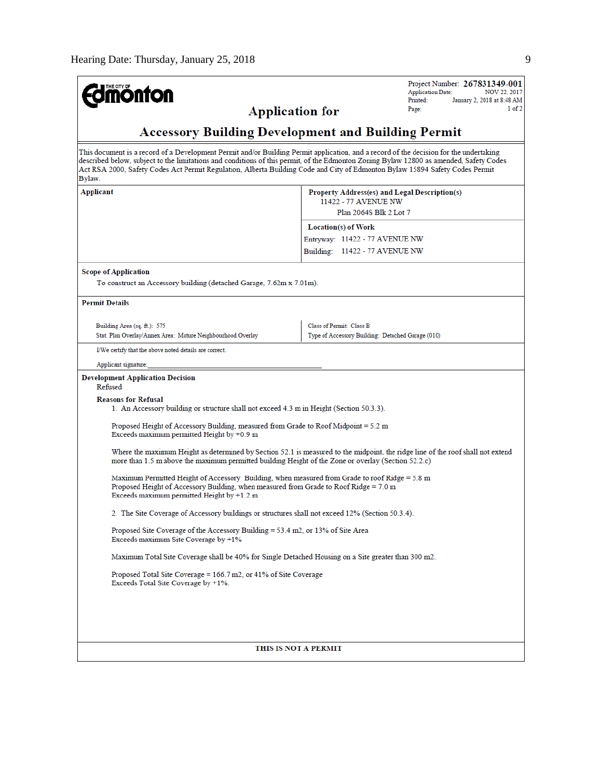| <b>monton</b>                                                                                                                                                                                                                           | Project Number: 267831349-001<br><b>Application Date:</b><br>NOV 22, 2017                                                                                                                                                                                                                                                                                                                                        |  |  |  |  |
|-----------------------------------------------------------------------------------------------------------------------------------------------------------------------------------------------------------------------------------------|------------------------------------------------------------------------------------------------------------------------------------------------------------------------------------------------------------------------------------------------------------------------------------------------------------------------------------------------------------------------------------------------------------------|--|--|--|--|
| <b>Application for</b>                                                                                                                                                                                                                  | Printed:<br>January 2, 2018 at 8:48 AM<br>1 of 2<br>Page:                                                                                                                                                                                                                                                                                                                                                        |  |  |  |  |
| <b>Accessory Building Development and Building Permit</b>                                                                                                                                                                               |                                                                                                                                                                                                                                                                                                                                                                                                                  |  |  |  |  |
| Bylaw.                                                                                                                                                                                                                                  | This document is a record of a Development Permit and/or Building Permit application, and a record of the decision for the undertaking<br>described below, subject to the limitations and conditions of this permit, of the Edmonton Zoning Bylaw 12800 as amended, Safety Codes<br>Act RSA 2000, Safety Codes Act Permit Regulation, Alberta Building Code and City of Edmonton Bylaw 15894 Safety Codes Permit |  |  |  |  |
| Applicant<br>Property Address(es) and Legal Description(s)<br>11422 - 77 AVENUE NW<br>Plan 2064S Blk 2 Lot 7                                                                                                                            |                                                                                                                                                                                                                                                                                                                                                                                                                  |  |  |  |  |
|                                                                                                                                                                                                                                         | Location(s) of Work                                                                                                                                                                                                                                                                                                                                                                                              |  |  |  |  |
|                                                                                                                                                                                                                                         | Entryway: 11422 - 77 AVENUE NW                                                                                                                                                                                                                                                                                                                                                                                   |  |  |  |  |
|                                                                                                                                                                                                                                         | Building: 11422 - 77 AVENUE NW                                                                                                                                                                                                                                                                                                                                                                                   |  |  |  |  |
| <b>Scope of Application</b>                                                                                                                                                                                                             |                                                                                                                                                                                                                                                                                                                                                                                                                  |  |  |  |  |
| To construct an Accessory building (detached Garage, 7.62m x 7.01m).                                                                                                                                                                    |                                                                                                                                                                                                                                                                                                                                                                                                                  |  |  |  |  |
| <b>Permit Details</b>                                                                                                                                                                                                                   |                                                                                                                                                                                                                                                                                                                                                                                                                  |  |  |  |  |
|                                                                                                                                                                                                                                         |                                                                                                                                                                                                                                                                                                                                                                                                                  |  |  |  |  |
| Building Area (sq. ft.): 575<br>Stat. Plan Overlay/Annex Area: Mature Neighbourhood Overlay                                                                                                                                             | Class of Permit: Class B<br>Type of Accessory Building: Detached Garage (010)                                                                                                                                                                                                                                                                                                                                    |  |  |  |  |
| I/We certify that the above noted details are correct.                                                                                                                                                                                  |                                                                                                                                                                                                                                                                                                                                                                                                                  |  |  |  |  |
| Applicant signature:                                                                                                                                                                                                                    |                                                                                                                                                                                                                                                                                                                                                                                                                  |  |  |  |  |
| <b>Development Application Decision</b><br>Refused                                                                                                                                                                                      |                                                                                                                                                                                                                                                                                                                                                                                                                  |  |  |  |  |
| <b>Reasons for Refusal</b><br>1. An Accessory building or structure shall not exceed 4.3 m in Height (Section 50.3.3).                                                                                                                  |                                                                                                                                                                                                                                                                                                                                                                                                                  |  |  |  |  |
| Proposed Height of Accessory Building, measured from Grade to Roof Midpoint = 5.2 m<br>Exceeds maximum permitted Height by $+0.9$ m                                                                                                     |                                                                                                                                                                                                                                                                                                                                                                                                                  |  |  |  |  |
| more than 1.5 m above the maximum permitted building Height of the Zone or overlay (Section 52.2.c)                                                                                                                                     | Where the maximum Height as determined by Section 52.1 is measured to the midpoint, the ridge line of the roof shall not extend                                                                                                                                                                                                                                                                                  |  |  |  |  |
| Maximum Permitted Height of Accessory Building, when measured from Grade to roof Ridge = 5.8 m<br>Proposed Height of Accessory Building, when measured from Grade to Roof Ridge = 7.0 m<br>Exceeds maximum permitted Height by $+1.2$ m |                                                                                                                                                                                                                                                                                                                                                                                                                  |  |  |  |  |
| 2. The Site Coverage of Accessory buildings or structures shall not exceed 12% (Section 50.3.4).                                                                                                                                        |                                                                                                                                                                                                                                                                                                                                                                                                                  |  |  |  |  |
| Proposed Site Coverage of the Accessory Building = 53.4 m2, or 13% of Site Area<br>Exceeds maximum Site Coverage by +1%                                                                                                                 |                                                                                                                                                                                                                                                                                                                                                                                                                  |  |  |  |  |
| Maximum Total Site Coverage shall be 40% for Single Detached Housing on a Site greater than 300 m2.                                                                                                                                     |                                                                                                                                                                                                                                                                                                                                                                                                                  |  |  |  |  |
| Proposed Total Site Coverage = $166.7$ m2, or 41% of Site Coverage<br>Exceeds Total Site Coverage by +1%.                                                                                                                               |                                                                                                                                                                                                                                                                                                                                                                                                                  |  |  |  |  |
|                                                                                                                                                                                                                                         |                                                                                                                                                                                                                                                                                                                                                                                                                  |  |  |  |  |
|                                                                                                                                                                                                                                         |                                                                                                                                                                                                                                                                                                                                                                                                                  |  |  |  |  |
| THIS IS NOT A PERMIT                                                                                                                                                                                                                    |                                                                                                                                                                                                                                                                                                                                                                                                                  |  |  |  |  |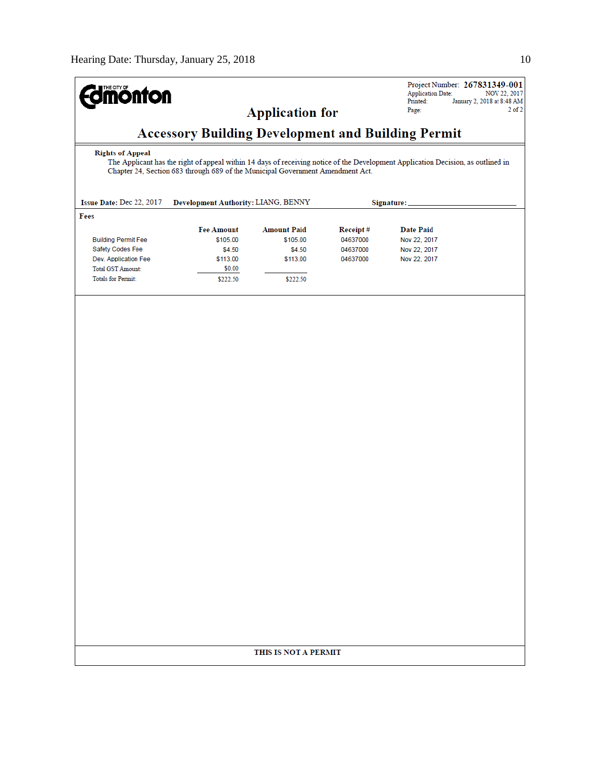| <b>Imónton</b>                                                                                                                                                                                                                                |                                     |                        |          | Project Number: 267831349-001<br><b>Application Date:</b><br>NOV 22, 2017 |  |
|-----------------------------------------------------------------------------------------------------------------------------------------------------------------------------------------------------------------------------------------------|-------------------------------------|------------------------|----------|---------------------------------------------------------------------------|--|
|                                                                                                                                                                                                                                               |                                     | <b>Application for</b> |          | Printed:<br>January 2, 2018 at 8:48 AM<br>$2$ of $2$<br>Page:             |  |
| <b>Accessory Building Development and Building Permit</b>                                                                                                                                                                                     |                                     |                        |          |                                                                           |  |
| <b>Rights of Appeal</b><br>The Applicant has the right of appeal within 14 days of receiving notice of the Development Application Decision, as outlined in<br>Chapter 24, Section 683 through 689 of the Municipal Government Amendment Act. |                                     |                        |          |                                                                           |  |
| Issue Date: Dec 22, 2017                                                                                                                                                                                                                      | Development Authority: LIANG, BENNY |                        |          | Signature:                                                                |  |
| Fees                                                                                                                                                                                                                                          |                                     |                        |          |                                                                           |  |
|                                                                                                                                                                                                                                               | <b>Fee Amount</b>                   | <b>Amount Paid</b>     | Receipt# | <b>Date Paid</b>                                                          |  |
| <b>Building Permit Fee</b>                                                                                                                                                                                                                    | \$105.00                            | \$105.00               | 04637000 | Nov 22, 2017                                                              |  |
| Safety Codes Fee                                                                                                                                                                                                                              | \$4.50                              | \$4.50                 | 04637000 | Nov 22, 2017                                                              |  |
| Dev. Application Fee                                                                                                                                                                                                                          | \$113.00                            | \$113.00               | 04637000 | Nov 22, 2017                                                              |  |
| <b>Total GST Amount:</b><br><b>Totals for Permit:</b>                                                                                                                                                                                         | \$0.00<br>\$222.50                  | \$222.50               |          |                                                                           |  |
|                                                                                                                                                                                                                                               |                                     |                        |          |                                                                           |  |
|                                                                                                                                                                                                                                               |                                     |                        |          |                                                                           |  |
|                                                                                                                                                                                                                                               |                                     |                        |          |                                                                           |  |
|                                                                                                                                                                                                                                               |                                     | THIS IS NOT A PERMIT   |          |                                                                           |  |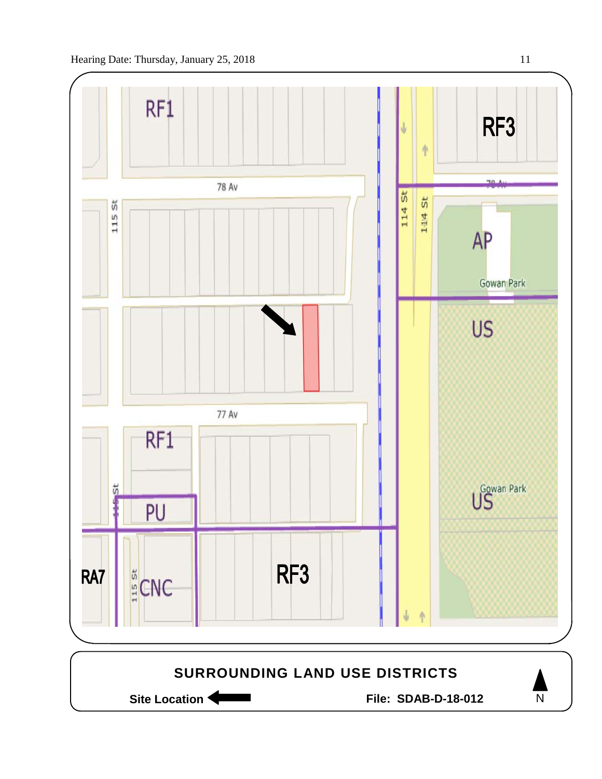

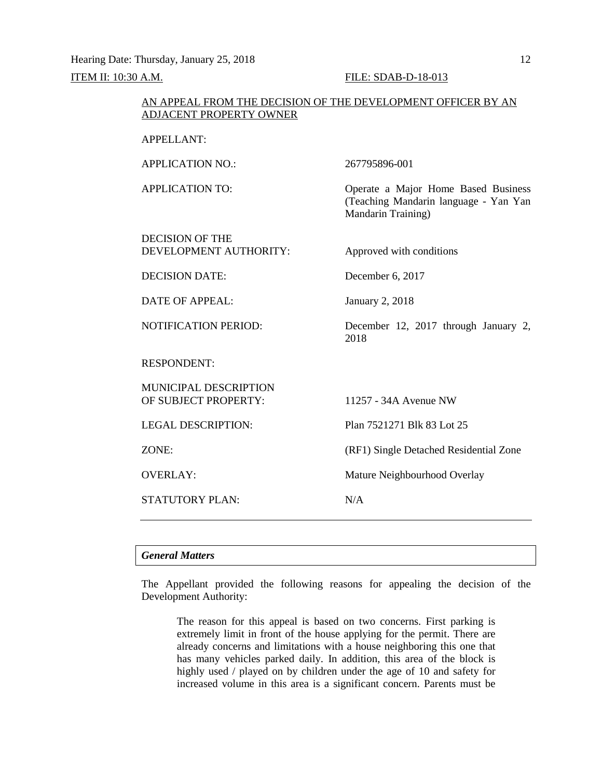Hearing Date: Thursday, January 25, 2018 12 ITEM II: 10:30 A.M. FILE: SDAB-D-18-013

Mandarin Training)

### AN APPEAL FROM THE DECISION OF THE DEVELOPMENT OFFICER BY AN ADJACENT PROPERTY OWNER

APPELLANT:

APPLICATION NO.: 267795896-001

APPLICATION TO: Operate a Major Home Based Business (Teaching Mandarin language - Yan Yan

DECISION OF THE DEVELOPMENT AUTHORITY: Approved with conditions

DECISION DATE: December 6, 2017

DATE OF APPEAL: January 2, 2018

NOTIFICATION PERIOD: December 12, 2017 through January 2,

RESPONDENT:

MUNICIPAL DESCRIPTION OF SUBJECT PROPERTY: 11257 - 34A Avenue NW

LEGAL DESCRIPTION: Plan 7521271 Blk 83 Lot 25

ZONE: (RF1) Single Detached Residential Zone

OVERLAY: Mature Neighbourhood Overlay

STATUTORY PLAN: N/A

2018

# *General Matters*

The Appellant provided the following reasons for appealing the decision of the Development Authority:

The reason for this appeal is based on two concerns. First parking is extremely limit in front of the house applying for the permit. There are already concerns and limitations with a house neighboring this one that has many vehicles parked daily. In addition, this area of the block is highly used / played on by children under the age of 10 and safety for increased volume in this area is a significant concern. Parents must be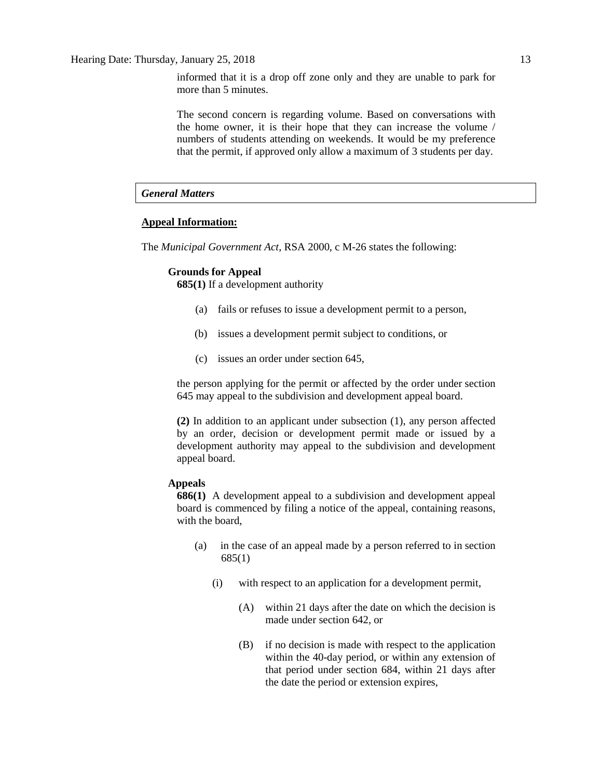informed that it is a drop off zone only and they are unable to park for more than 5 minutes.

The second concern is regarding volume. Based on conversations with the home owner, it is their hope that they can increase the volume / numbers of students attending on weekends. It would be my preference that the permit, if approved only allow a maximum of 3 students per day.

# *General Matters*

# **Appeal Information:**

The *Municipal Government Act*, RSA 2000, c M-26 states the following:

# **Grounds for Appeal**

**685(1)** If a development authority

- (a) fails or refuses to issue a development permit to a person,
- (b) issues a development permit subject to conditions, or
- (c) issues an order under section 645,

the person applying for the permit or affected by the order under section 645 may appeal to the subdivision and development appeal board.

**(2)** In addition to an applicant under subsection (1), any person affected by an order, decision or development permit made or issued by a development authority may appeal to the subdivision and development appeal board.

# **Appeals**

**686(1)** A development appeal to a subdivision and development appeal board is commenced by filing a notice of the appeal, containing reasons, with the board,

- (a) in the case of an appeal made by a person referred to in section 685(1)
	- (i) with respect to an application for a development permit,
		- (A) within 21 days after the date on which the decision is made under section 642, or
		- (B) if no decision is made with respect to the application within the 40-day period, or within any extension of that period under section 684, within 21 days after the date the period or extension expires,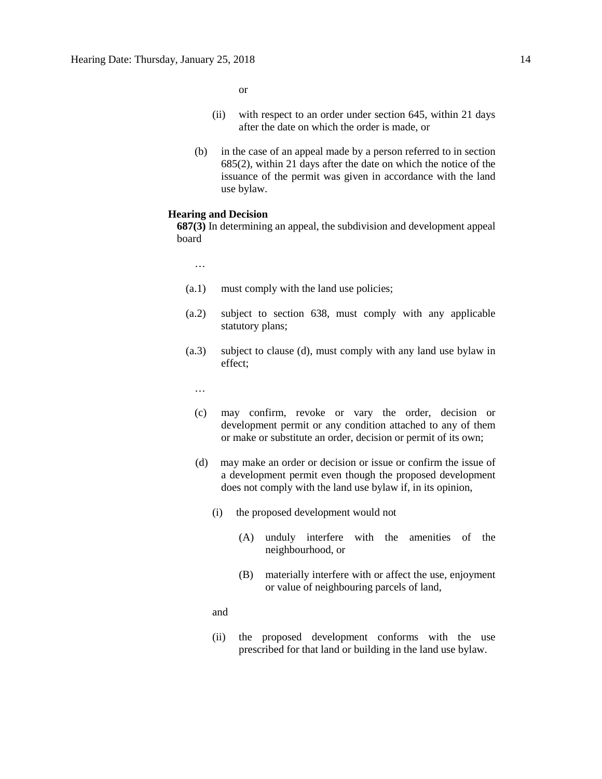or

- (ii) with respect to an order under section 645, within 21 days after the date on which the order is made, or
- (b) in the case of an appeal made by a person referred to in section 685(2), within 21 days after the date on which the notice of the issuance of the permit was given in accordance with the land use bylaw.

### **Hearing and Decision**

**687(3)** In determining an appeal, the subdivision and development appeal board

…

- (a.1) must comply with the land use policies;
- (a.2) subject to section 638, must comply with any applicable statutory plans;
- (a.3) subject to clause (d), must comply with any land use bylaw in effect;
	- …
	- (c) may confirm, revoke or vary the order, decision or development permit or any condition attached to any of them or make or substitute an order, decision or permit of its own;
	- (d) may make an order or decision or issue or confirm the issue of a development permit even though the proposed development does not comply with the land use bylaw if, in its opinion,
		- (i) the proposed development would not
			- (A) unduly interfere with the amenities of the neighbourhood, or
			- (B) materially interfere with or affect the use, enjoyment or value of neighbouring parcels of land,
		- and
		- (ii) the proposed development conforms with the use prescribed for that land or building in the land use bylaw.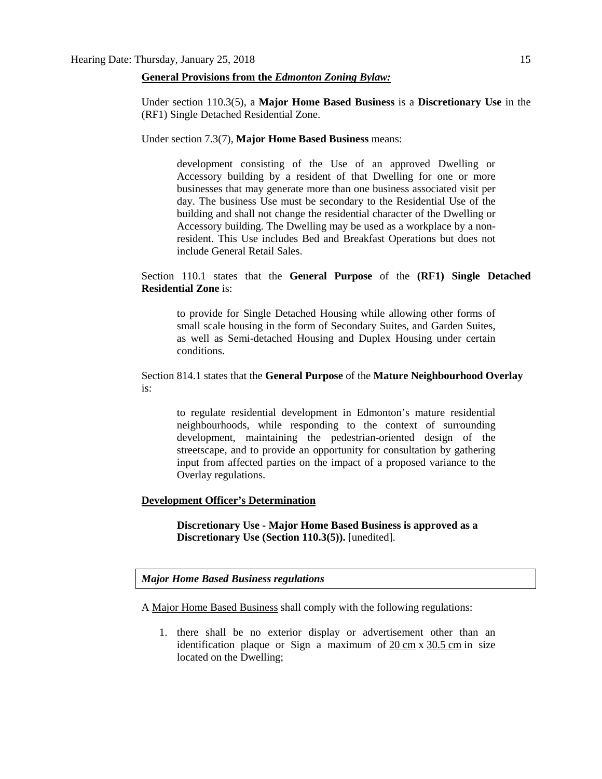### **General Provisions from the** *Edmonton Zoning Bylaw:*

Under section 110.3(5), a **Major Home Based Business** is a **Discretionary Use** in the (RF1) Single Detached Residential Zone.

Under section 7.3(7), **Major Home Based Business** means:

development consisting of the Use of an approved Dwelling or Accessory building by a resident of that Dwelling for one or more businesses that may generate more than one business associated visit per day. The business Use must be secondary to the Residential Use of the building and shall not change the residential character of the Dwelling or Accessory building. The Dwelling may be used as a workplace by a nonresident. This Use includes Bed and Breakfast Operations but does not include General Retail Sales.

Section 110.1 states that the **General Purpose** of the **(RF1) Single Detached Residential Zone** is:

to provide for Single Detached Housing while allowing other forms of small scale housing in the form of Secondary Suites, and Garden Suites, as well as Semi-detached Housing and Duplex Housing under certain conditions.

Section 814.1 states that the **General Purpose** of the **Mature Neighbourhood Overlay** is:

to regulate residential development in Edmonton's mature residential neighbourhoods, while responding to the context of surrounding development, maintaining the pedestrian-oriented design of the streetscape, and to provide an opportunity for consultation by gathering input from affected parties on the impact of a proposed variance to the Overlay regulations.

# **Development Officer's Determination**

**Discretionary Use - Major Home Based Business is approved as a Discretionary Use (Section 110.3(5)).** [unedited].

### *Major Home Based Business regulations*

A [Major Home Based Business](javascript:void(0);) shall comply with the following regulations:

1. there shall be no exterior display or advertisement other than an identification plaque or Sign a maximum of 20 [cm](javascript:void(0);) x [30.5](javascript:void(0);) cm in size located on the Dwelling;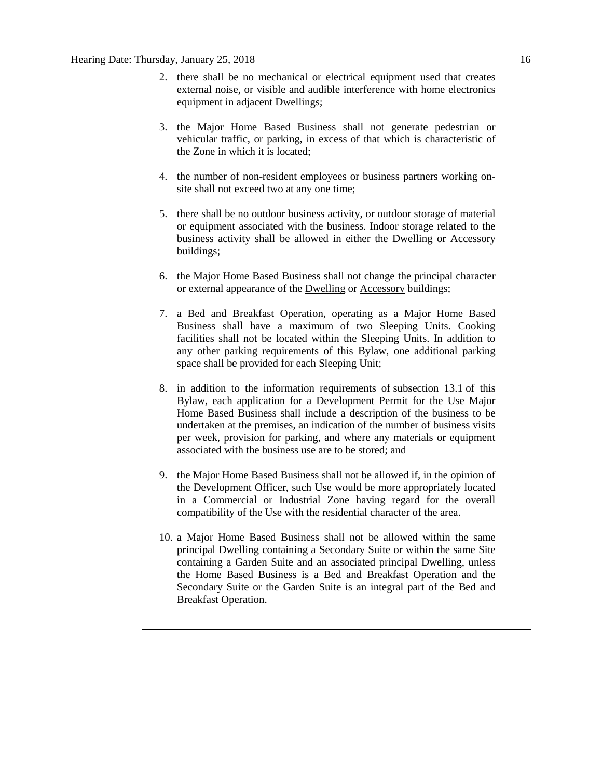- 2. there shall be no mechanical or electrical equipment used that creates external noise, or visible and audible interference with home electronics equipment in adjacent Dwellings;
- 3. the Major Home Based Business shall not generate pedestrian or vehicular traffic, or parking, in excess of that which is characteristic of the Zone in which it is located;
- 4. the number of non-resident employees or business partners working onsite shall not exceed two at any one time;
- 5. there shall be no outdoor business activity, or outdoor storage of material or equipment associated with the business. Indoor storage related to the business activity shall be allowed in either the Dwelling or Accessory buildings;
- 6. the Major Home Based Business shall not change the principal character or external appearance of the [Dwelling](javascript:void(0);) or [Accessory](javascript:void(0);) buildings;
- 7. a Bed and Breakfast Operation, operating as a Major Home Based Business shall have a maximum of two Sleeping Units. Cooking facilities shall not be located within the Sleeping Units. In addition to any other parking requirements of this Bylaw, one additional parking space shall be provided for each Sleeping Unit;
- 8. in addition to the information requirements of [subsection 13.1](http://webdocs.edmonton.ca/InfraPlan/zoningbylaw/ZoningBylaw/Part1/Administrative/13__Development_Permit_Application.htm) of this Bylaw, each application for a Development Permit for the Use Major Home Based Business shall include a description of the business to be undertaken at the premises, an indication of the number of business visits per week, provision for parking, and where any materials or equipment associated with the business use are to be stored; and
- 9. the [Major Home Based Business](javascript:void(0);) shall not be allowed if, in the opinion of the Development Officer, such Use would be more appropriately located in a Commercial or Industrial Zone having regard for the overall compatibility of the Use with the residential character of the area.
- 10. a Major Home Based Business shall not be allowed within the same principal Dwelling containing a Secondary Suite or within the same Site containing a Garden Suite and an associated principal Dwelling, unless the Home Based Business is a Bed and Breakfast Operation and the Secondary Suite or the Garden Suite is an integral part of the Bed and Breakfast Operation.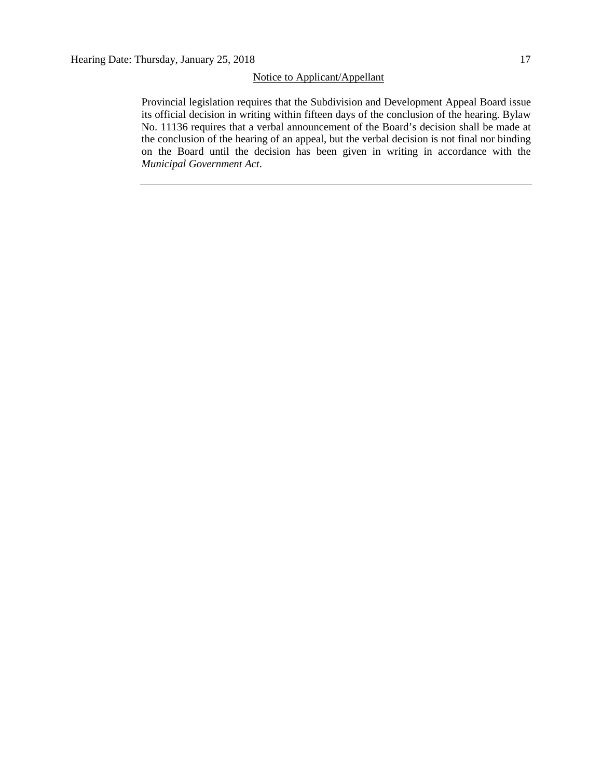# Notice to Applicant/Appellant

Provincial legislation requires that the Subdivision and Development Appeal Board issue its official decision in writing within fifteen days of the conclusion of the hearing. Bylaw No. 11136 requires that a verbal announcement of the Board's decision shall be made at the conclusion of the hearing of an appeal, but the verbal decision is not final nor binding on the Board until the decision has been given in writing in accordance with the *Municipal Government Act*.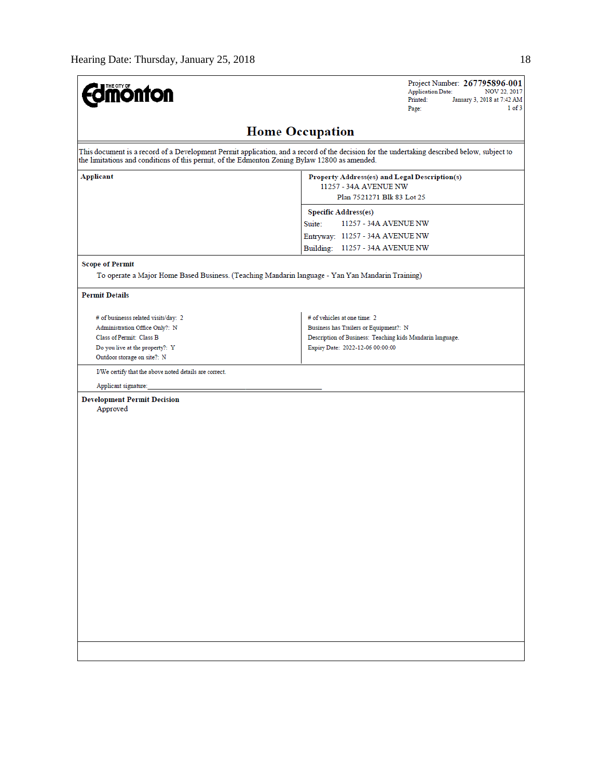| <b>dmönton</b>                                                                                                                                                                                                                               | Project Number: 267795896-001<br><b>Application Date:</b><br>NOV 22, 2017<br>Printed:<br>January 3, 2018 at 7:42 AM<br>$1$ of $3$<br>Page: |  |  |  |  |
|----------------------------------------------------------------------------------------------------------------------------------------------------------------------------------------------------------------------------------------------|--------------------------------------------------------------------------------------------------------------------------------------------|--|--|--|--|
| <b>Home Occupation</b>                                                                                                                                                                                                                       |                                                                                                                                            |  |  |  |  |
| This document is a record of a Development Permit application, and a record of the decision for the undertaking described below, subject to<br>the limitations and conditions of this permit, of the Edmonton Zoning Bylaw 12800 as amended. |                                                                                                                                            |  |  |  |  |
| <b>Applicant</b>                                                                                                                                                                                                                             | Property Address(es) and Legal Description(s)<br>11257 - 34A AVENUE NW<br>Plan 7521271 Blk 83 Lot 25                                       |  |  |  |  |
|                                                                                                                                                                                                                                              | <b>Specific Address(es)</b>                                                                                                                |  |  |  |  |
|                                                                                                                                                                                                                                              | Suite:<br>11257 - 34A AVENUE NW                                                                                                            |  |  |  |  |
|                                                                                                                                                                                                                                              | Entryway: 11257 - 34A AVENUE NW                                                                                                            |  |  |  |  |
|                                                                                                                                                                                                                                              | Building: 11257 - 34A AVENUE NW                                                                                                            |  |  |  |  |
| <b>Scope of Permit</b><br>To operate a Major Home Based Business. (Teaching Mandarin language - Yan Yan Mandarin Training)                                                                                                                   |                                                                                                                                            |  |  |  |  |
| <b>Permit Details</b>                                                                                                                                                                                                                        |                                                                                                                                            |  |  |  |  |
| # of businesss related visits/day: 2                                                                                                                                                                                                         | # of vehicles at one time: 2                                                                                                               |  |  |  |  |
| Administration Office Only?: N                                                                                                                                                                                                               | Business has Trailers or Equipment?: N                                                                                                     |  |  |  |  |
| Class of Permit: Class B                                                                                                                                                                                                                     | Description of Business: Teaching kids Mandarin language.                                                                                  |  |  |  |  |
| Do you live at the property?: Y<br>Outdoor storage on site?: N                                                                                                                                                                               | Expiry Date: 2022-12-06 00:00:00                                                                                                           |  |  |  |  |
| I/We certify that the above noted details are correct.                                                                                                                                                                                       |                                                                                                                                            |  |  |  |  |
| Applicant signature:                                                                                                                                                                                                                         |                                                                                                                                            |  |  |  |  |
| <b>Development Permit Decision</b><br>Approved                                                                                                                                                                                               |                                                                                                                                            |  |  |  |  |
|                                                                                                                                                                                                                                              |                                                                                                                                            |  |  |  |  |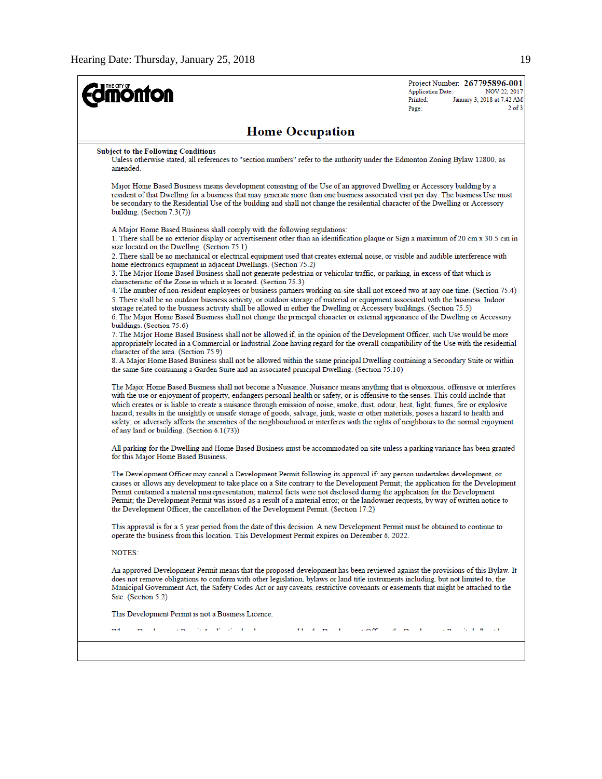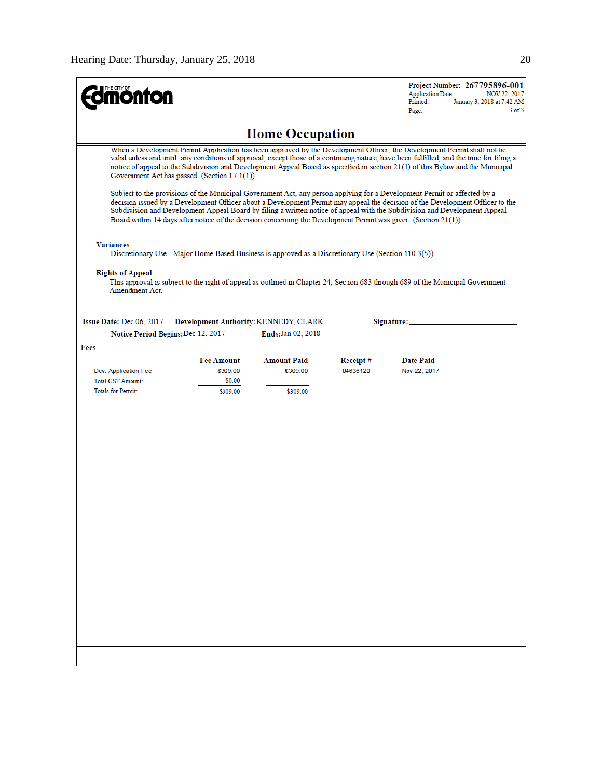| THE CITY OF<br><b>phton</b>                                                                                                                                                                                                                                                                                                                                                                                                                                                                                                                                                                                                                                                                                                                                                                                                                                                                                                                                      |                   |                                              |          | Project Number: 267795896-001<br><b>Application Date:</b><br>NOV 22, 2017<br>Printed:<br>January 3, 2018 at 7:42 AM<br>$3$ of $3$<br>Page: |  |  |
|------------------------------------------------------------------------------------------------------------------------------------------------------------------------------------------------------------------------------------------------------------------------------------------------------------------------------------------------------------------------------------------------------------------------------------------------------------------------------------------------------------------------------------------------------------------------------------------------------------------------------------------------------------------------------------------------------------------------------------------------------------------------------------------------------------------------------------------------------------------------------------------------------------------------------------------------------------------|-------------------|----------------------------------------------|----------|--------------------------------------------------------------------------------------------------------------------------------------------|--|--|
|                                                                                                                                                                                                                                                                                                                                                                                                                                                                                                                                                                                                                                                                                                                                                                                                                                                                                                                                                                  |                   | <b>Home Occupation</b>                       |          |                                                                                                                                            |  |  |
| When a Development Permit Application has been approved by the Development Officer, the Development Permit shall not be<br>valid unless and until: any conditions of approval, except those of a continuing nature, have been fulfilled; and the time for filing a<br>notice of appeal to the Subdivision and Development Appeal Board as specified in section 21(1) of this Bylaw and the Municipal<br>Government Act has passed. (Section 17.1(1))<br>Subject to the provisions of the Municipal Government Act, any person applying for a Development Permit or affected by a<br>decision issued by a Development Officer about a Development Permit may appeal the decision of the Development Officer to the<br>Subdivision and Development Appeal Board by filing a written notice of appeal with the Subdivision and Development Appeal<br>Board within 14 days after notice of the decision concerning the Development Permit was given. (Section 21(1)) |                   |                                              |          |                                                                                                                                            |  |  |
| <b>Variances</b><br>Discretionary Use - Major Home Based Business is approved as a Discretionary Use (Section 110.3(5)).                                                                                                                                                                                                                                                                                                                                                                                                                                                                                                                                                                                                                                                                                                                                                                                                                                         |                   |                                              |          |                                                                                                                                            |  |  |
| <b>Rights of Appeal</b><br>Amendment Act                                                                                                                                                                                                                                                                                                                                                                                                                                                                                                                                                                                                                                                                                                                                                                                                                                                                                                                         |                   |                                              |          | This approval is subject to the right of appeal as outlined in Chapter 24, Section 683 through 689 of the Municipal Government             |  |  |
| Issue Date: Dec 06, 2017                                                                                                                                                                                                                                                                                                                                                                                                                                                                                                                                                                                                                                                                                                                                                                                                                                                                                                                                         |                   | <b>Development Authority: KENNEDY, CLARK</b> |          | Signature:                                                                                                                                 |  |  |
| Notice Period Begins: Dec 12, 2017                                                                                                                                                                                                                                                                                                                                                                                                                                                                                                                                                                                                                                                                                                                                                                                                                                                                                                                               |                   | Ends: Jan 02, 2018                           |          |                                                                                                                                            |  |  |
| Fees                                                                                                                                                                                                                                                                                                                                                                                                                                                                                                                                                                                                                                                                                                                                                                                                                                                                                                                                                             | <b>Fee Amount</b> | <b>Amount Paid</b>                           | Receipt# | <b>Date Paid</b>                                                                                                                           |  |  |
| Dev. Application Fee                                                                                                                                                                                                                                                                                                                                                                                                                                                                                                                                                                                                                                                                                                                                                                                                                                                                                                                                             | \$309.00          | \$309.00                                     | 04636120 | Nov 22, 2017                                                                                                                               |  |  |
| <b>Total GST Amount:</b>                                                                                                                                                                                                                                                                                                                                                                                                                                                                                                                                                                                                                                                                                                                                                                                                                                                                                                                                         | \$0.00            |                                              |          |                                                                                                                                            |  |  |
| <b>Totals for Permit:</b>                                                                                                                                                                                                                                                                                                                                                                                                                                                                                                                                                                                                                                                                                                                                                                                                                                                                                                                                        | \$309.00          | \$309.00                                     |          |                                                                                                                                            |  |  |
|                                                                                                                                                                                                                                                                                                                                                                                                                                                                                                                                                                                                                                                                                                                                                                                                                                                                                                                                                                  |                   |                                              |          |                                                                                                                                            |  |  |
|                                                                                                                                                                                                                                                                                                                                                                                                                                                                                                                                                                                                                                                                                                                                                                                                                                                                                                                                                                  |                   |                                              |          |                                                                                                                                            |  |  |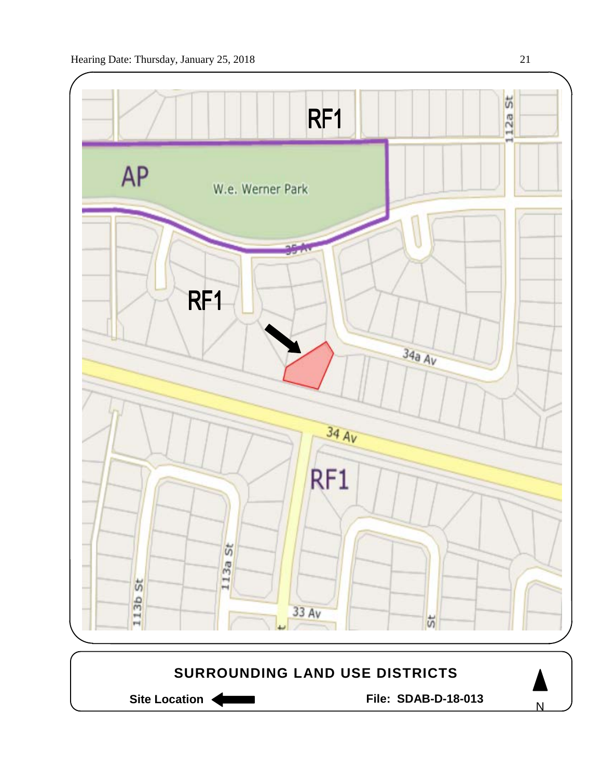



Site Location **Community Contract Contract Contract Contract Contract Contract Contract Contract Contract Contract Contract Contract Contract Contract Contract Contract Contract Contract Contract Contract Contract Contract** 

N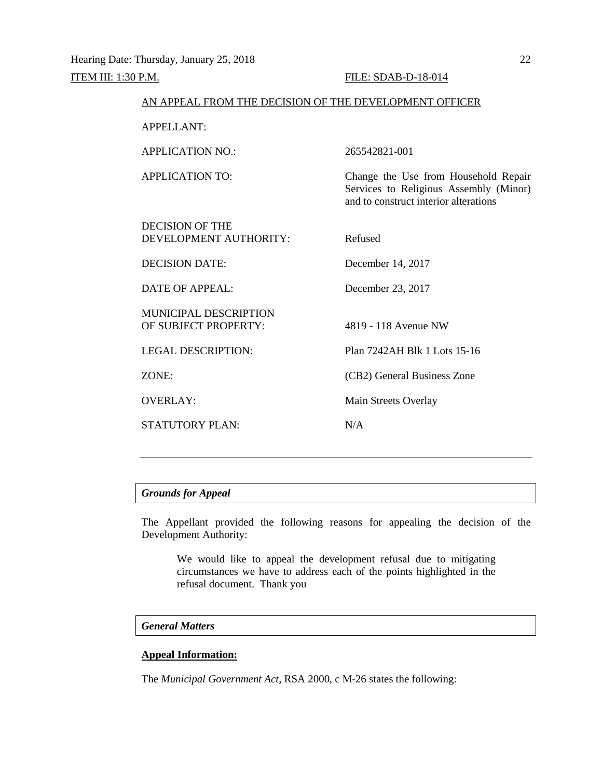| AN APPEAL FROM THE DECISION OF THE DEVELOPMENT OFFICER |                                                                                                                         |
|--------------------------------------------------------|-------------------------------------------------------------------------------------------------------------------------|
| <b>APPELLANT:</b>                                      |                                                                                                                         |
| <b>APPLICATION NO.:</b>                                | 265542821-001                                                                                                           |
| <b>APPLICATION TO:</b>                                 | Change the Use from Household Repair<br>Services to Religious Assembly (Minor)<br>and to construct interior alterations |
| DECISION OF THE<br>DEVELOPMENT AUTHORITY:              | Refused                                                                                                                 |
| <b>DECISION DATE:</b>                                  | December 14, 2017                                                                                                       |
| DATE OF APPEAL:                                        | December 23, 2017                                                                                                       |
| <b>MUNICIPAL DESCRIPTION</b><br>OF SUBJECT PROPERTY:   | 4819 - 118 Avenue NW                                                                                                    |
| <b>LEGAL DESCRIPTION:</b>                              | Plan 7242AH Blk 1 Lots 15-16                                                                                            |
| ZONE:                                                  | (CB2) General Business Zone                                                                                             |
| <b>OVERLAY:</b>                                        | Main Streets Overlay                                                                                                    |
| <b>STATUTORY PLAN:</b>                                 | N/A                                                                                                                     |
|                                                        |                                                                                                                         |

# *Grounds for Appeal*

The Appellant provided the following reasons for appealing the decision of the Development Authority:

We would like to appeal the development refusal due to mitigating circumstances we have to address each of the points highlighted in the refusal document. Thank you

# *General Matters*

# **Appeal Information:**

The *Municipal Government Act*, RSA 2000, c M-26 states the following: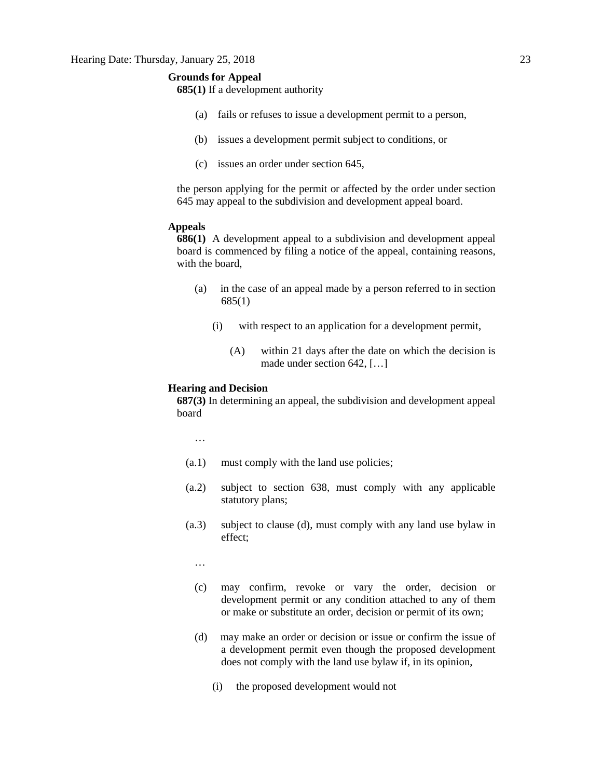# **Grounds for Appeal**

**685(1)** If a development authority

- (a) fails or refuses to issue a development permit to a person,
- (b) issues a development permit subject to conditions, or
- (c) issues an order under section 645,

the person applying for the permit or affected by the order under section 645 may appeal to the subdivision and development appeal board.

# **Appeals**

**686(1)** A development appeal to a subdivision and development appeal board is commenced by filing a notice of the appeal, containing reasons, with the board,

- (a) in the case of an appeal made by a person referred to in section 685(1)
	- (i) with respect to an application for a development permit,
		- (A) within 21 days after the date on which the decision is made under section 642, […]

### **Hearing and Decision**

**687(3)** In determining an appeal, the subdivision and development appeal board

…

- (a.1) must comply with the land use policies;
- (a.2) subject to section 638, must comply with any applicable statutory plans;
- (a.3) subject to clause (d), must comply with any land use bylaw in effect;

…

- (c) may confirm, revoke or vary the order, decision or development permit or any condition attached to any of them or make or substitute an order, decision or permit of its own;
- (d) may make an order or decision or issue or confirm the issue of a development permit even though the proposed development does not comply with the land use bylaw if, in its opinion,
	- (i) the proposed development would not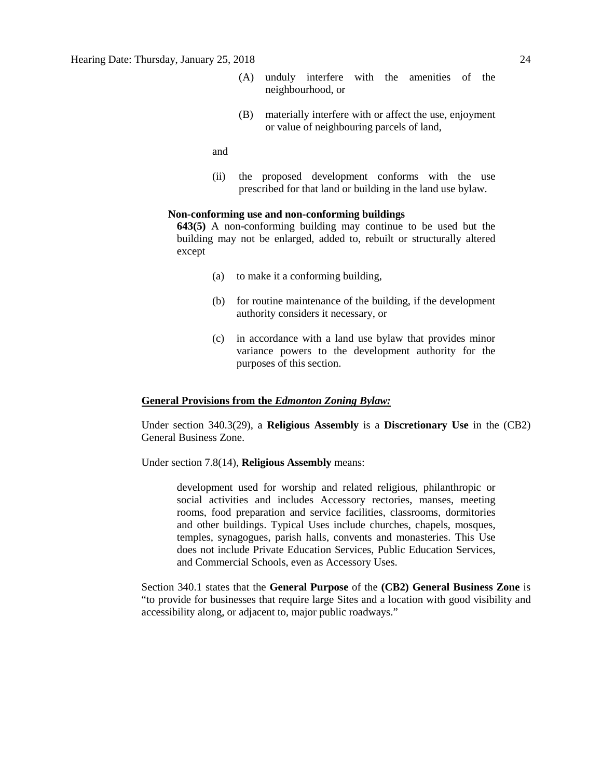- (A) unduly interfere with the amenities of the neighbourhood, or
- (B) materially interfere with or affect the use, enjoyment or value of neighbouring parcels of land,

and

(ii) the proposed development conforms with the use prescribed for that land or building in the land use bylaw.

### **Non-conforming use and non-conforming buildings**

**643(5)** A non-conforming building may continue to be used but the building may not be enlarged, added to, rebuilt or structurally altered except

- (a) to make it a conforming building,
- (b) for routine maintenance of the building, if the development authority considers it necessary, or
- (c) in accordance with a land use bylaw that provides minor variance powers to the development authority for the purposes of this section.

# **General Provisions from the** *Edmonton Zoning Bylaw:*

Under section 340.3(29), a **Religious Assembly** is a **Discretionary Use** in the (CB2) General Business Zone.

Under section 7.8(14), **Religious Assembly** means:

development used for worship and related religious, philanthropic or social activities and includes Accessory rectories, manses, meeting rooms, food preparation and service facilities, classrooms, dormitories and other buildings. Typical Uses include churches, chapels, mosques, temples, synagogues, parish halls, convents and monasteries. This Use does not include Private Education Services, Public Education Services, and Commercial Schools, even as Accessory Uses.

Section 340.1 states that the **General Purpose** of the **(CB2) General Business Zone** is "to provide for businesses that require large Sites and a location with good visibility and accessibility along, or adjacent to, major public roadways."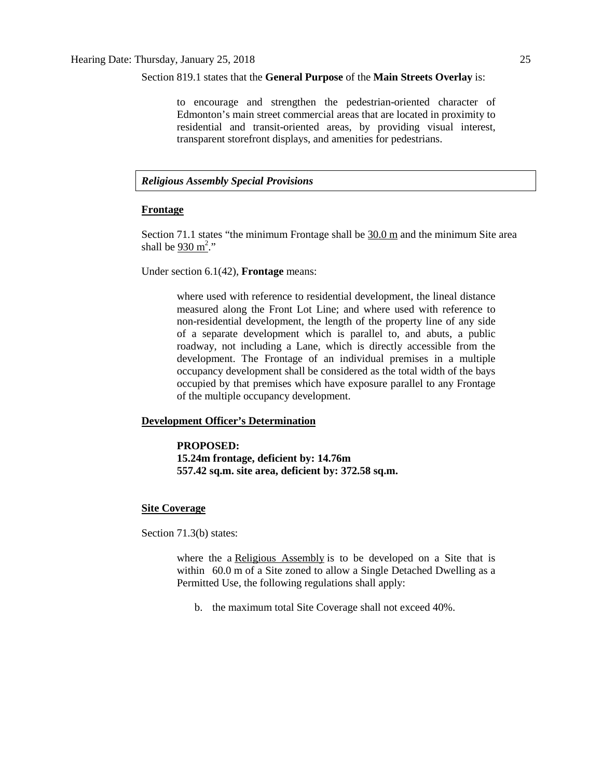### Section 819.1 states that the **General Purpose** of the **Main Streets Overlay** is:

to encourage and strengthen the pedestrian-oriented character of Edmonton's main street commercial areas that are located in proximity to residential and transit-oriented areas, by providing visual interest, transparent storefront displays, and amenities for pedestrians.

# *Religious Assembly Special Provisions*

# **Frontage**

Section 71.1 states "the minimum Frontage shall be [30.0](javascript:void(0);) m and the minimum Site area shall be  $930 \text{ m}^2$  $930 \text{ m}^2$ ."

Under section 6.1(42), **Frontage** means:

where used with reference to residential development, the lineal distance measured along the Front Lot Line; and where used with reference to non-residential development, the length of the property line of any side of a separate development which is parallel to, and abuts, a public roadway, not including a Lane, which is directly accessible from the development. The Frontage of an individual premises in a multiple occupancy development shall be considered as the total width of the bays occupied by that premises which have exposure parallel to any Frontage of the multiple occupancy development.

# **Development Officer's Determination**

**PROPOSED: 15.24m frontage, deficient by: 14.76m 557.42 sq.m. site area, deficient by: 372.58 sq.m.**

## **Site Coverage**

Section 71.3(b) states:

where the a [Religious Assembly](javascript:void(0);) is to be developed on a Site that is within 60.0 m of a Site zoned to allow a Single Detached Dwelling as a Permitted Use, the following regulations shall apply:

b. the maximum total Site Coverage shall not exceed 40%.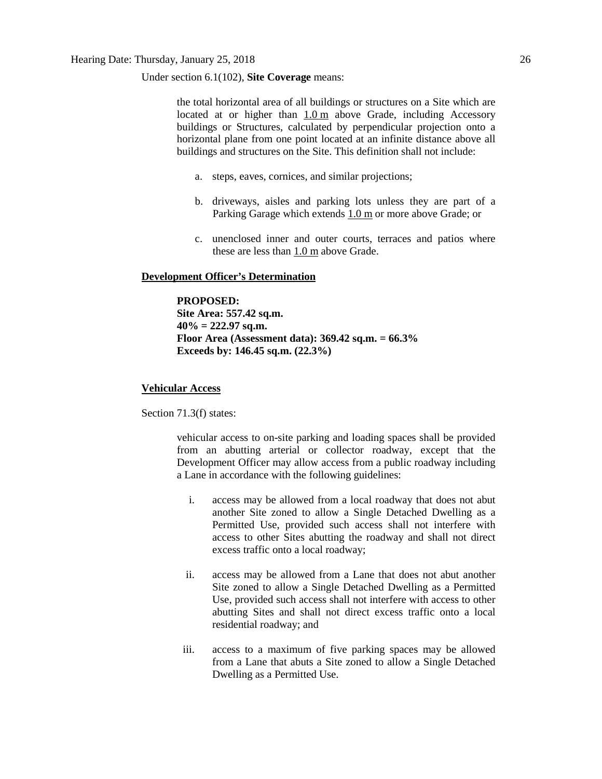Under section 6.1(102), **Site Coverage** means:

the total horizontal area of all buildings or structures on a Site which are located at or higher than [1.0](javascript:void(0);) m above Grade, including Accessory buildings or Structures, calculated by perpendicular projection onto a horizontal plane from one point located at an infinite distance above all buildings and structures on the Site. This definition shall not include:

- a. steps, eaves, cornices, and similar projections;
- b. driveways, aisles and parking lots unless they are part of a Parking Garage which extends [1.0](javascript:void(0);) m or more above Grade; or
- c. unenclosed inner and outer courts, terraces and patios where these are less than [1.0](javascript:void(0);) m above Grade.

# **Development Officer's Determination**

**PROPOSED: Site Area: 557.42 sq.m. 40% = 222.97 sq.m. Floor Area (Assessment data): 369.42 sq.m. = 66.3% Exceeds by: 146.45 sq.m. (22.3%)**

## **Vehicular Access**

Section 71.3(f) states:

vehicular access to on-site parking and loading spaces shall be provided from an abutting arterial or collector roadway, except that the Development Officer may allow access from a public roadway including a Lane in accordance with the following guidelines:

- i. access may be allowed from a local roadway that does not abut another Site zoned to allow a Single Detached Dwelling as a Permitted Use, provided such access shall not interfere with access to other Sites abutting the roadway and shall not direct excess traffic onto a local roadway;
- ii. access may be allowed from a Lane that does not abut another Site zoned to allow a Single Detached Dwelling as a Permitted Use, provided such access shall not interfere with access to other abutting Sites and shall not direct excess traffic onto a local residential roadway; and
- iii. access to a maximum of five parking spaces may be allowed from a Lane that abuts a Site zoned to allow a Single Detached Dwelling as a Permitted Use.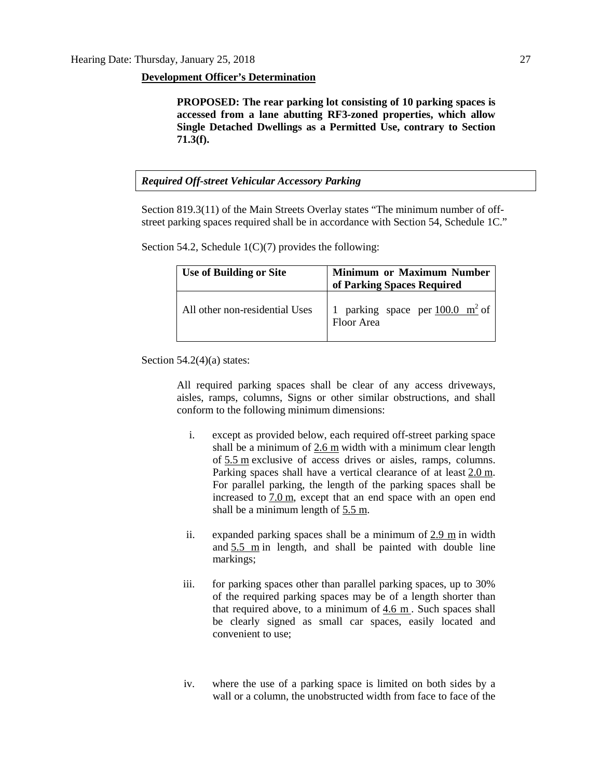### **Development Officer's Determination**

**PROPOSED: The rear parking lot consisting of 10 parking spaces is accessed from a lane abutting RF3-zoned properties, which allow Single Detached Dwellings as a Permitted Use, contrary to Section 71.3(f).**

# *Required Off-street Vehicular Accessory Parking*

Section 819.3(11) of the Main Streets Overlay states "The minimum number of offstreet parking spaces required shall be in accordance with Section 54, Schedule 1C."

Section 54.2, Schedule  $1(C)(7)$  provides the following:

| <b>Use of Building or Site</b> | <b>Minimum or Maximum Number</b><br>of Parking Spaces Required |  |  |  |
|--------------------------------|----------------------------------------------------------------|--|--|--|
| All other non-residential Uses | 1 parking space per $100.0 \text{ m}^2$ of<br>Floor Area       |  |  |  |

Section 54.2(4)(a) states:

All required parking spaces shall be clear of any access driveways, aisles, ramps, columns, Signs or other similar obstructions, and shall conform to the following minimum dimensions:

- i. except as provided below, each required off-street parking space shall be a minimum of [2.6 m](javascript:void(0);) width with a minimum clear length of [5.5](javascript:void(0);) m exclusive of access drives or aisles, ramps, columns. Parking spaces shall have a vertical clearance of at least [2.0](javascript:void(0);) m. For parallel parking, the length of the parking spaces shall be increased to  $7.0 \text{ m}$  $7.0 \text{ m}$ , except that an end space with an open end shall be a minimum length of [5.5](javascript:void(0);) m.
- ii. expanded parking spaces shall be a minimum of [2.9 m](javascript:void(0);) in width and  $5.5$  m in length, and shall be painted with double line markings;
- iii. for parking spaces other than parallel parking spaces, up to 30% of the required parking spaces may be of a length shorter than that required above, to a minimum of [4.6 m](javascript:void(0);) . Such spaces shall be clearly signed as small car spaces, easily located and convenient to use;
- iv. where the use of a parking space is limited on both sides by a wall or a column, the unobstructed width from face to face of the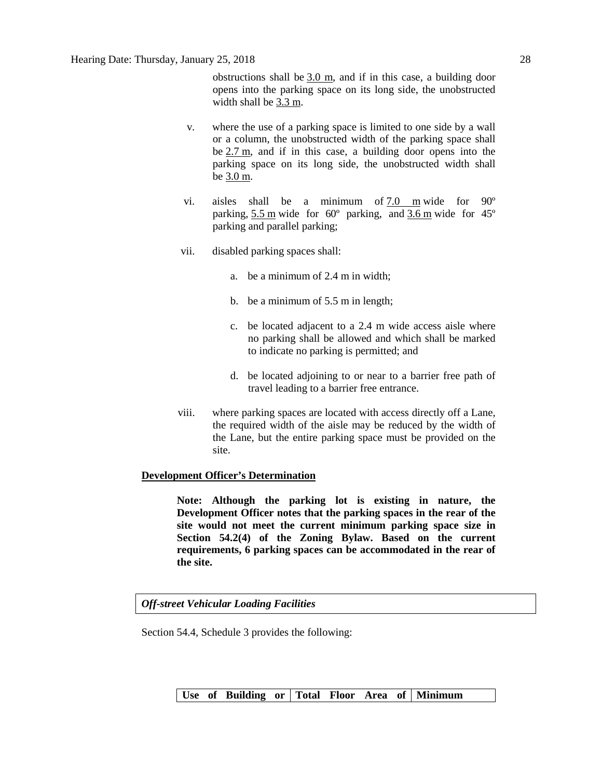obstructions shall be [3.0 m,](javascript:void(0);) and if in this case, a building door opens into the parking space on its long side, the unobstructed width shall be [3.3](javascript:void(0);) m.

- v. where the use of a parking space is limited to one side by a wall or a column, the unobstructed width of the parking space shall be [2.7](javascript:void(0);) m, and if in this case, a building door opens into the parking space on its long side, the unobstructed width shall be [3.0](javascript:void(0);) m.
- vi. aisles shall be a minimum of [7.0 m](javascript:void(0);) wide for 90º parking, [5.5](javascript:void(0);) m wide for 60º parking, and [3.6](javascript:void(0);) m wide for 45º parking and parallel parking;
- vii. disabled parking spaces shall:
	- a. be a minimum of 2.4 m in width;
	- b. be a minimum of 5.5 m in length;
	- c. be located adjacent to a 2.4 m wide access aisle where no parking shall be allowed and which shall be marked to indicate no parking is permitted; and
	- d. be located adjoining to or near to a barrier free path of travel leading to a barrier free entrance.
- viii. where parking spaces are located with access directly off a Lane, the required width of the aisle may be reduced by the width of the Lane, but the entire parking space must be provided on the site.

# **Development Officer's Determination**

**Note: Although the parking lot is existing in nature, the Development Officer notes that the parking spaces in the rear of the site would not meet the current minimum parking space size in Section 54.2(4) of the Zoning Bylaw. Based on the current requirements, 6 parking spaces can be accommodated in the rear of the site.**

*Off-street Vehicular Loading Facilities*

Section 54.4, Schedule 3 provides the following:

Use of Building or Total Floor Area of Minimum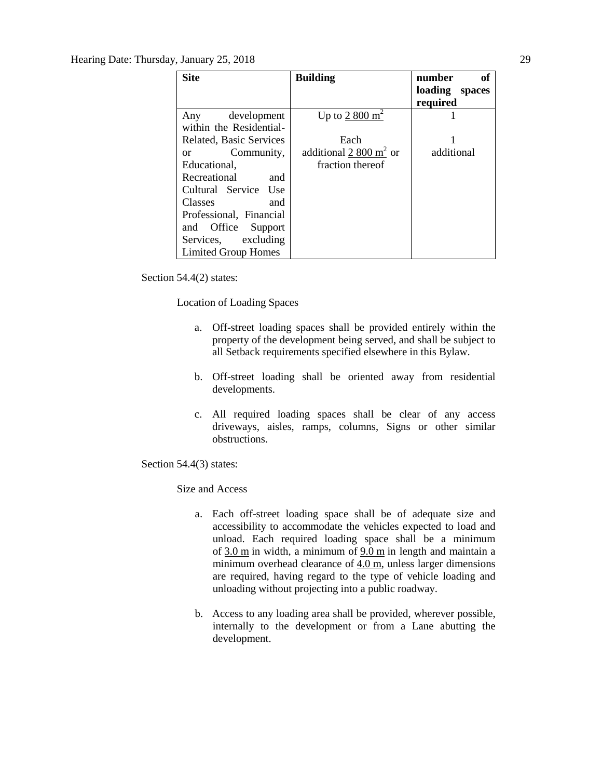# Hearing Date: Thursday, January 25, 2018 29

| <b>Site</b>                 | <b>Building</b>          | number<br>of   |
|-----------------------------|--------------------------|----------------|
|                             |                          | loading spaces |
|                             |                          | required       |
| development<br>Any          | Up to $2800 \text{ m}^2$ |                |
| within the Residential-     |                          |                |
| Related, Basic Services     | Each                     |                |
| Community,<br><sub>or</sub> | additional 2 800 $m2$ or | additional     |
| Educational.                | fraction thereof         |                |
| Recreational<br>and         |                          |                |
| Cultural Service Use        |                          |                |
| Classes<br>and              |                          |                |
| Professional, Financial     |                          |                |
| and Office<br>Support       |                          |                |
| Services, excluding         |                          |                |
| Limited Group Homes         |                          |                |

Section 54.4(2) states:

Location of Loading Spaces

- a. Off-street loading spaces shall be provided entirely within the property of the development being served, and shall be subject to all Setback requirements specified elsewhere in this Bylaw.
- b. Off-street loading shall be oriented away from residential developments.
- c. All required loading spaces shall be clear of any access driveways, aisles, ramps, columns, Signs or other similar obstructions.

Section 54.4(3) states:

Size and Access

- a. Each off-street loading space shall be of adequate size and accessibility to accommodate the vehicles expected to load and unload. Each required loading space shall be a minimum of  $3.0 \text{ m}$  $3.0 \text{ m}$  in width, a minimum of  $9.0 \text{ m}$  $9.0 \text{ m}$  in length and maintain a minimum overhead clearance of [4.0](javascript:void(0);) m, unless larger dimensions are required, having regard to the type of vehicle loading and unloading without projecting into a public roadway.
- b. Access to any loading area shall be provided, wherever possible, internally to the development or from a Lane abutting the development.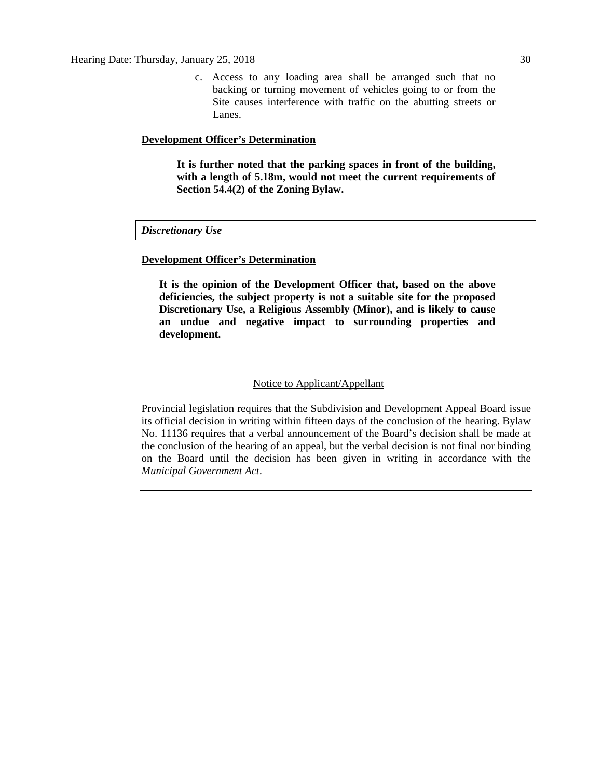c. Access to any loading area shall be arranged such that no backing or turning movement of vehicles going to or from the Site causes interference with traffic on the abutting streets or Lanes.

### **Development Officer's Determination**

**It is further noted that the parking spaces in front of the building, with a length of 5.18m, would not meet the current requirements of Section 54.4(2) of the Zoning Bylaw.**

### *Discretionary Use*

### **Development Officer's Determination**

**It is the opinion of the Development Officer that, based on the above deficiencies, the subject property is not a suitable site for the proposed Discretionary Use, a Religious Assembly (Minor), and is likely to cause an undue and negative impact to surrounding properties and development.**

# Notice to Applicant/Appellant

Provincial legislation requires that the Subdivision and Development Appeal Board issue its official decision in writing within fifteen days of the conclusion of the hearing. Bylaw No. 11136 requires that a verbal announcement of the Board's decision shall be made at the conclusion of the hearing of an appeal, but the verbal decision is not final nor binding on the Board until the decision has been given in writing in accordance with the *Municipal Government Act*.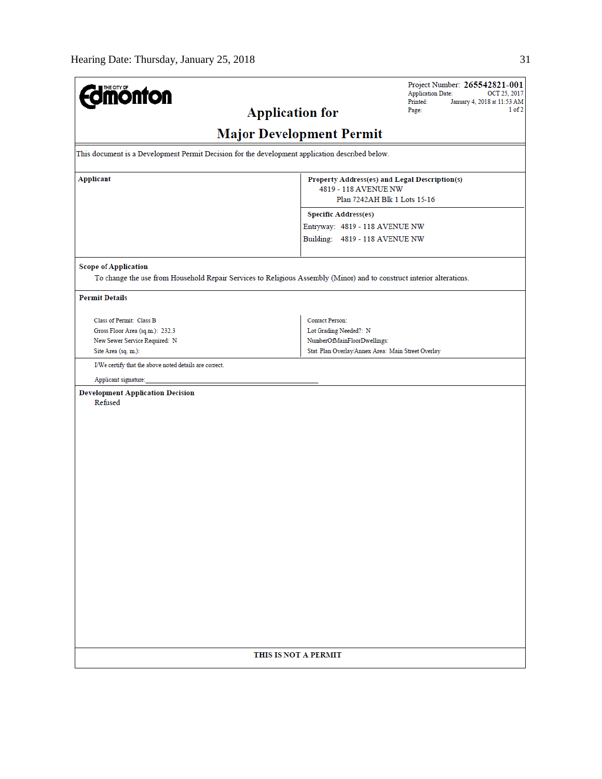| <b>dmönton</b>                                                                                                                                       |                                                                                                       | Project Number: 265542821-001<br><b>Application Date:</b><br>OCT 25, 2017 |  |  |  |
|------------------------------------------------------------------------------------------------------------------------------------------------------|-------------------------------------------------------------------------------------------------------|---------------------------------------------------------------------------|--|--|--|
| <b>Application for</b>                                                                                                                               | Printed:<br>January 4, 2018 at 11:53 AM<br>1 of 2<br>Page:                                            |                                                                           |  |  |  |
| <b>Major Development Permit</b>                                                                                                                      |                                                                                                       |                                                                           |  |  |  |
| This document is a Development Permit Decision for the development application described below.                                                      |                                                                                                       |                                                                           |  |  |  |
| <b>Applicant</b>                                                                                                                                     | Property Address(es) and Legal Description(s)<br>4819 - 118 AVENUE NW<br>Plan 7242AH Blk 1 Lots 15-16 |                                                                           |  |  |  |
|                                                                                                                                                      | <b>Specific Address(es)</b>                                                                           |                                                                           |  |  |  |
|                                                                                                                                                      | Entryway: 4819 - 118 AVENUE NW<br>Building: 4819 - 118 AVENUE NW                                      |                                                                           |  |  |  |
| <b>Scope of Application</b><br>To change the use from Household Repair Services to Religious Assembly (Minor) and to construct interior alterations. |                                                                                                       |                                                                           |  |  |  |
| <b>Permit Details</b>                                                                                                                                |                                                                                                       |                                                                           |  |  |  |
| Class of Permit: Class B                                                                                                                             | <b>Contact Person:</b>                                                                                |                                                                           |  |  |  |
| Gross Floor Area (sq.m.): 232.3<br>New Sewer Service Required: N                                                                                     | Lot Grading Needed?: N<br>NumberOfMainFloorDwellings:                                                 |                                                                           |  |  |  |
| Site Area (sq. m.):                                                                                                                                  | Stat. Plan Overlay/Annex Area: Main Street Overlay                                                    |                                                                           |  |  |  |
| I/We certify that the above noted details are correct.                                                                                               |                                                                                                       |                                                                           |  |  |  |
| Applicant signature:                                                                                                                                 |                                                                                                       |                                                                           |  |  |  |
| <b>Development Application Decision</b><br>Refused                                                                                                   |                                                                                                       |                                                                           |  |  |  |
|                                                                                                                                                      |                                                                                                       |                                                                           |  |  |  |
| THIS IS NOT A PERMIT                                                                                                                                 |                                                                                                       |                                                                           |  |  |  |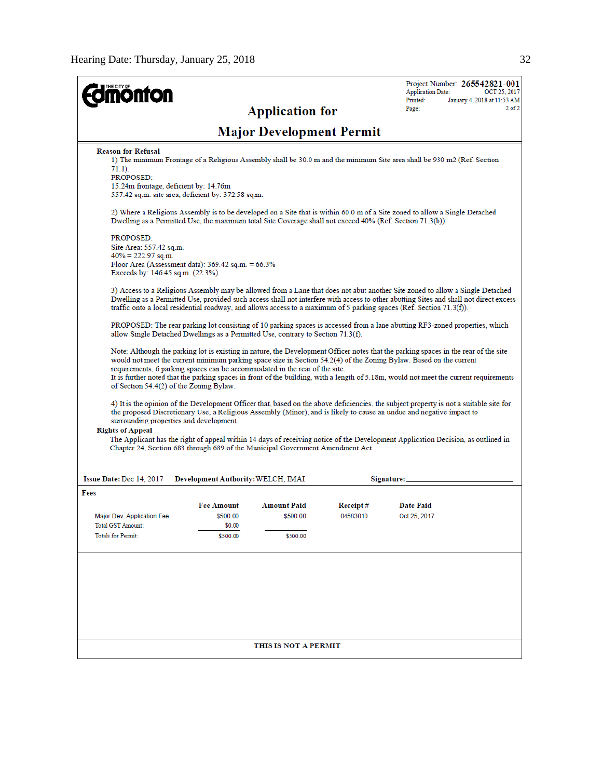| <b>onfon</b>                                                                                                                                                 |                                    | <b>Application for</b>          |          | Project Number: 265542821-001<br><b>Application Date:</b><br>OCT 25, 2017<br>Printed:<br>January 4, 2018 at 11:53 AM<br>$2$ of $2$<br>Page:                                                                                                                                                                                                                                                        |
|--------------------------------------------------------------------------------------------------------------------------------------------------------------|------------------------------------|---------------------------------|----------|----------------------------------------------------------------------------------------------------------------------------------------------------------------------------------------------------------------------------------------------------------------------------------------------------------------------------------------------------------------------------------------------------|
|                                                                                                                                                              |                                    | <b>Major Development Permit</b> |          |                                                                                                                                                                                                                                                                                                                                                                                                    |
| <b>Reason for Refusal</b><br>$71.1$ :<br><b>PROPOSED:</b><br>15.24m frontage, deficient by: 14.76m<br>557.42 sq.m. site area, deficient by: 372.58 sq.m.     |                                    |                                 |          | 1) The minimum Frontage of a Religious Assembly shall be 30.0 m and the minimum Site area shall be 930 m2 (Ref. Section                                                                                                                                                                                                                                                                            |
| Dwelling as a Permitted Use, the maximum total Site Coverage shall not exceed 40% (Ref. Section 71.3(b)):                                                    |                                    |                                 |          | 2) Where a Religious Assembly is to be developed on a Site that is within 60.0 m of a Site zoned to allow a Single Detached                                                                                                                                                                                                                                                                        |
| PROPOSED:<br>Site Area: 557.42 sq.m.<br>$40\% = 222.97$ sq.m.<br>Floor Area (Assessment data): $369.42$ sq.m. = $66.3\%$<br>Exceeds by: 146.45 sq.m. (22.3%) |                                    |                                 |          |                                                                                                                                                                                                                                                                                                                                                                                                    |
|                                                                                                                                                              |                                    |                                 |          | 3) Access to a Religious Assembly may be allowed from a Lane that does not abut another Site zoned to allow a Single Detached<br>Dwelling as a Permitted Use, provided such access shall not interfere with access to other abutting Sites and shall not direct excess<br>traffic onto a local residential roadway, and allows access to a maximum of 5 parking spaces (Ref. Section 71.3(f)).     |
| allow Single Detached Dwellings as a Permitted Use, contrary to Section 71.3(f).                                                                             |                                    |                                 |          | PROPOSED: The rear parking lot consisting of 10 parking spaces is accessed from a lane abutting RF3-zoned properties, which                                                                                                                                                                                                                                                                        |
| requirements, 6 parking spaces can be accommodated in the rear of the site.<br>of Section 54.4(2) of the Zoning Bylaw.                                       |                                    |                                 |          | Note: Although the parking lot is existing in nature, the Development Officer notes that the parking spaces in the rear of the site<br>would not meet the current minimum parking space size in Section 54.2(4) of the Zoning Bylaw. Based on the current<br>It is further noted that the parking spaces in front of the building, with a length of 5.18m, would not meet the current requirements |
| surrounding properties and development.<br><b>Rights of Appeal</b><br>Chapter 24, Section 683 through 689 of the Municipal Government Amendment Act.         |                                    |                                 |          | 4) It is the opinion of the Development Officer that, based on the above deficiencies, the subject property is not a suitable site for<br>the proposed Discretionary Use, a Religious Assembly (Minor), and is likely to cause an undue and negative impact to<br>The Applicant has the right of appeal within 14 days of receiving notice of the Development Application Decision, as outlined in |
| Issue Date: Dec 14, 2017                                                                                                                                     | Development Authority: WELCH, IMAI |                                 |          | Signature:                                                                                                                                                                                                                                                                                                                                                                                         |
| Fees                                                                                                                                                         |                                    |                                 |          |                                                                                                                                                                                                                                                                                                                                                                                                    |
|                                                                                                                                                              | <b>Fee Amount</b>                  | <b>Amount Paid</b>              | Receipt# | <b>Date Paid</b>                                                                                                                                                                                                                                                                                                                                                                                   |
| Major Dev. Application Fee                                                                                                                                   | \$500.00                           | \$500.00                        | 04583010 | Oct 25, 2017                                                                                                                                                                                                                                                                                                                                                                                       |
| Total GST Amount:                                                                                                                                            | \$0.00                             |                                 |          |                                                                                                                                                                                                                                                                                                                                                                                                    |
| <b>Totals for Permit:</b>                                                                                                                                    | \$500.00                           | \$500.00                        |          |                                                                                                                                                                                                                                                                                                                                                                                                    |
|                                                                                                                                                              |                                    |                                 |          |                                                                                                                                                                                                                                                                                                                                                                                                    |
|                                                                                                                                                              |                                    | THIS IS NOT A PERMIT            |          |                                                                                                                                                                                                                                                                                                                                                                                                    |